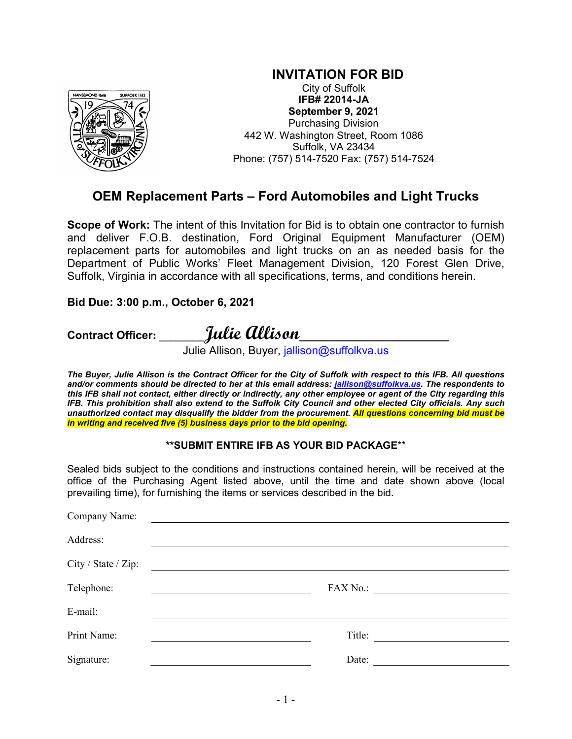

**INVITATION FOR BID** City of Suffolk

**IFB# 22014-JA September 9, 2021** Purchasing Division 442 W. Washington Street, Room 1086 Suffolk, VA 23434 Phone: (757) 514-7520 Fax: (757) 514-7524

# **OEM Replacement Parts – Ford Automobiles and Light Trucks**

**Scope of Work:** The intent of this Invitation for Bid is to obtain one contractor to furnish and deliver F.O.B. destination, Ford Original Equipment Manufacturer (OEM) replacement parts for automobiles and light trucks on an as needed basis for the Department of Public Works' Fleet Management Division, 120 Forest Glen Drive, Suffolk, Virginia in accordance with all specifications, terms, and conditions herein.

#### **Bid Due: 3:00 p.m., October 6, 2021**

**Contract Officer: \_\_\_\_\_\_\_\_Julie Allison\_\_\_\_\_\_\_\_\_\_\_\_\_\_\_\_**

Julie Allison, Buyer, <u>jallison@suffolkva.us</u>

*The Buyer, Julie Allison is the Contract Officer for the City of Suffolk with respect to this IFB. All questions and/or comments should be directed to her at this email address: [jallison@suffolkva.us.](mailto:jallison@suffolkva.us) The respondents to this IFB shall not contact, either directly or indirectly, any other employee or agent of the City regarding this IFB. This prohibition shall also extend to the Suffolk City Council and other elected City officials. Any such unauthorized contact may disqualify the bidder from the procurement. All questions concerning bid must be in writing and received five (5) business days prior to the bid opening.*

#### **\*\*SUBMIT ENTIRE IFB AS YOUR BID PACKAGE**\*\*

Sealed bids subject to the conditions and instructions contained herein, will be received at the office of the Purchasing Agent listed above, until the time and date shown above (local prevailing time), for furnishing the items or services described in the bid.

| Company Name:       |                                                              |
|---------------------|--------------------------------------------------------------|
| Address:            |                                                              |
| City / State / Zip: |                                                              |
| Telephone:          | FAX No.:                                                     |
| E-mail:             |                                                              |
| Print Name:         | Title:<br><u> 1999 - Andrea State Barbara, politik a pre</u> |
| Signature:          | Date:                                                        |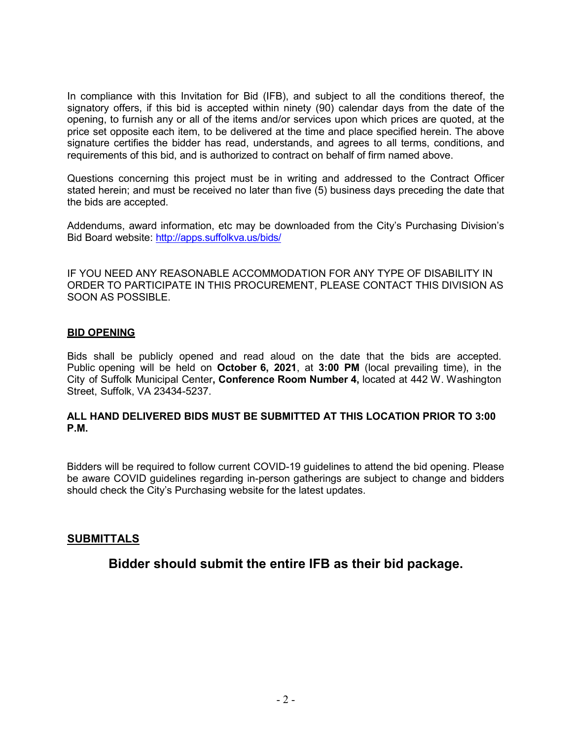In compliance with this Invitation for Bid (IFB), and subject to all the conditions thereof, the signatory offers, if this bid is accepted within ninety (90) calendar days from the date of the opening, to furnish any or all of the items and/or services upon which prices are quoted, at the price set opposite each item, to be delivered at the time and place specified herein. The above signature certifies the bidder has read, understands, and agrees to all terms, conditions, and requirements of this bid, and is authorized to contract on behalf of firm named above.

Questions concerning this project must be in writing and addressed to the Contract Officer stated herein; and must be received no later than five (5) business days preceding the date that the bids are accepted.

Addendums, award information, etc may be downloaded from the City's Purchasing Division's Bid Board website:<http://apps.suffolkva.us/bids/>

IF YOU NEED ANY REASONABLE ACCOMMODATION FOR ANY TYPE OF DISABILITY IN ORDER TO PARTICIPATE IN THIS PROCUREMENT, PLEASE CONTACT THIS DIVISION AS SOON AS POSSIBLE.

#### **BID OPENING**

Bids shall be publicly opened and read aloud on the date that the bids are accepted. Public opening will be held on **October 6, 2021**, at **3:00 PM** (local prevailing time), in the City of Suffolk Municipal Center**, Conference Room Number 4,** located at 442 W. Washington Street, Suffolk, VA 23434-5237.

#### **ALL HAND DELIVERED BIDS MUST BE SUBMITTED AT THIS LOCATION PRIOR TO 3:00 P.M.**

Bidders will be required to follow current COVID-19 guidelines to attend the bid opening. Please be aware COVID guidelines regarding in-person gatherings are subject to change and bidders should check the City's Purchasing website for the latest updates.

#### **SUBMITTALS**

**Bidder should submit the entire IFB as their bid package.**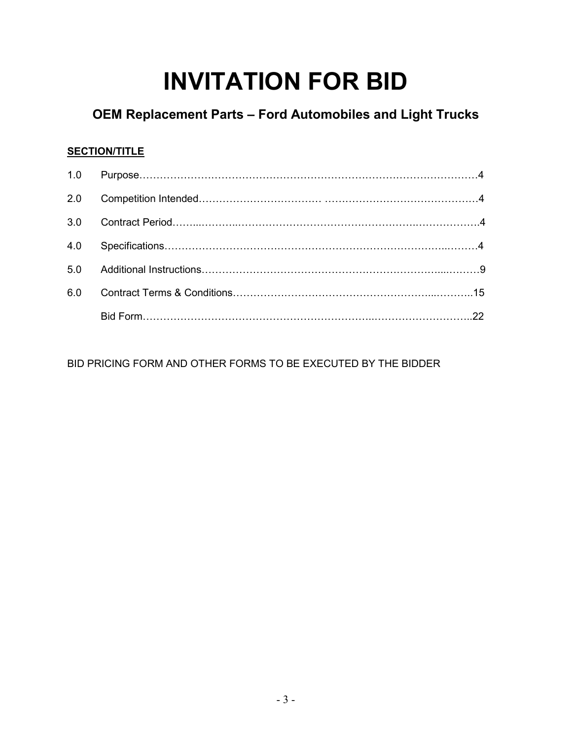# **INVITATION FOR BID**

# **OEM Replacement Parts – Ford Automobiles and Light Trucks**

### **SECTION/TITLE**

| 2.0 |  |
|-----|--|
| 3.0 |  |
| 4.0 |  |
| 5.0 |  |
| 6.0 |  |
|     |  |

BID PRICING FORM AND OTHER FORMS TO BE EXECUTED BY THE BIDDER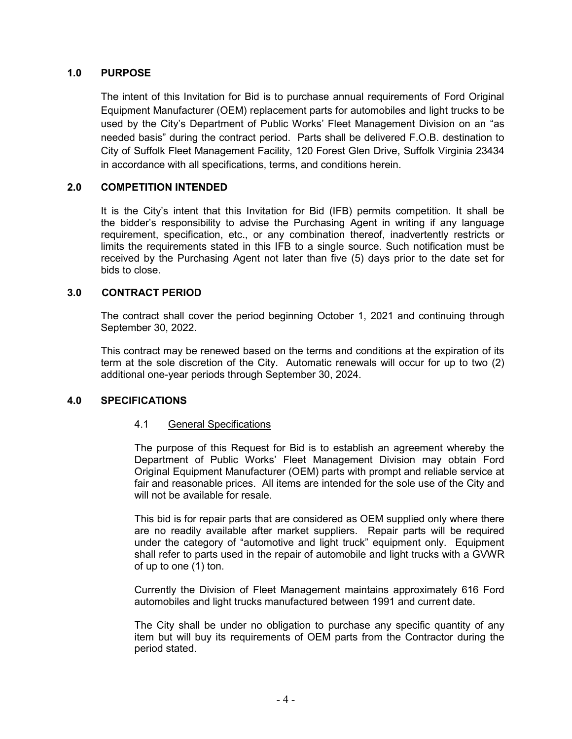#### **1.0 PURPOSE**

The intent of this Invitation for Bid is to purchase annual requirements of Ford Original Equipment Manufacturer (OEM) replacement parts for automobiles and light trucks to be used by the City's Department of Public Works' Fleet Management Division on an "as needed basis" during the contract period. Parts shall be delivered F.O.B. destination to City of Suffolk Fleet Management Facility, 120 Forest Glen Drive, Suffolk Virginia 23434 in accordance with all specifications, terms, and conditions herein.

#### **2.0 COMPETITION INTENDED**

It is the City's intent that this Invitation for Bid (IFB) permits competition. It shall be the bidder's responsibility to advise the Purchasing Agent in writing if any language requirement, specification, etc., or any combination thereof, inadvertently restricts or limits the requirements stated in this IFB to a single source. Such notification must be received by the Purchasing Agent not later than five (5) days prior to the date set for bids to close.

#### **3.0 CONTRACT PERIOD**

The contract shall cover the period beginning October 1, 2021 and continuing through September 30, 2022.

This contract may be renewed based on the terms and conditions at the expiration of its term at the sole discretion of the City. Automatic renewals will occur for up to two (2) additional one-year periods through September 30, 2024.

#### **4.0 SPECIFICATIONS**

#### 4.1 General Specifications

The purpose of this Request for Bid is to establish an agreement whereby the Department of Public Works' Fleet Management Division may obtain Ford Original Equipment Manufacturer (OEM) parts with prompt and reliable service at fair and reasonable prices. All items are intended for the sole use of the City and will not be available for resale.

This bid is for repair parts that are considered as OEM supplied only where there are no readily available after market suppliers. Repair parts will be required under the category of "automotive and light truck" equipment only. Equipment shall refer to parts used in the repair of automobile and light trucks with a GVWR of up to one (1) ton.

Currently the Division of Fleet Management maintains approximately 616 Ford automobiles and light trucks manufactured between 1991 and current date.

The City shall be under no obligation to purchase any specific quantity of any item but will buy its requirements of OEM parts from the Contractor during the period stated.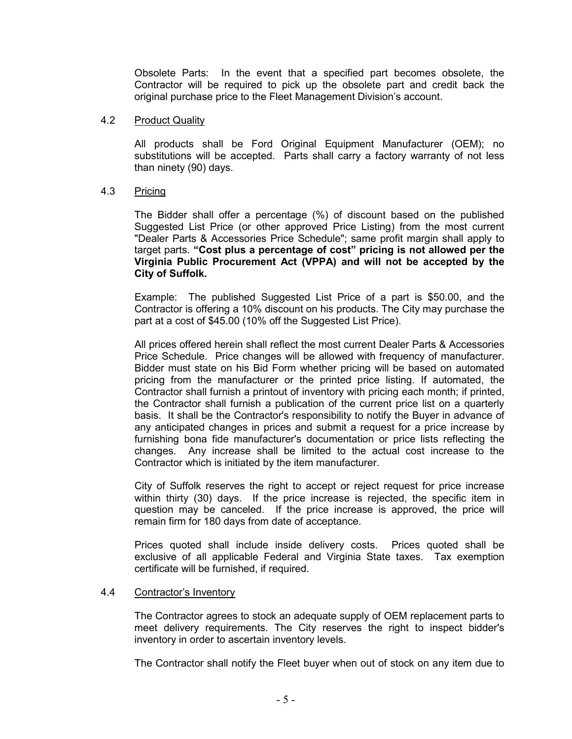Obsolete Parts: In the event that a specified part becomes obsolete, the Contractor will be required to pick up the obsolete part and credit back the original purchase price to the Fleet Management Division's account.

#### 4.2 Product Quality

All products shall be Ford Original Equipment Manufacturer (OEM); no substitutions will be accepted. Parts shall carry a factory warranty of not less than ninety (90) days.

#### 4.3 Pricing

The Bidder shall offer a percentage (%) of discount based on the published Suggested List Price (or other approved Price Listing) from the most current "Dealer Parts & Accessories Price Schedule"; same profit margin shall apply to target parts. **"Cost plus a percentage of cost" pricing is not allowed per the Virginia Public Procurement Act (VPPA) and will not be accepted by the City of Suffolk.**

Example: The published Suggested List Price of a part is \$50.00, and the Contractor is offering a 10% discount on his products. The City may purchase the part at a cost of \$45.00 (10% off the Suggested List Price).

All prices offered herein shall reflect the most current Dealer Parts & Accessories Price Schedule. Price changes will be allowed with frequency of manufacturer. Bidder must state on his Bid Form whether pricing will be based on automated pricing from the manufacturer or the printed price listing. If automated, the Contractor shall furnish a printout of inventory with pricing each month; if printed, the Contractor shall furnish a publication of the current price list on a quarterly basis. It shall be the Contractor's responsibility to notify the Buyer in advance of any anticipated changes in prices and submit a request for a price increase by furnishing bona fide manufacturer's documentation or price lists reflecting the changes. Any increase shall be limited to the actual cost increase to the Contractor which is initiated by the item manufacturer.

City of Suffolk reserves the right to accept or reject request for price increase within thirty (30) days. If the price increase is rejected, the specific item in question may be canceled. If the price increase is approved, the price will remain firm for 180 days from date of acceptance.

Prices quoted shall include inside delivery costs. Prices quoted shall be exclusive of all applicable Federal and Virginia State taxes. Tax exemption certificate will be furnished, if required.

#### 4.4 Contractor's Inventory

The Contractor agrees to stock an adequate supply of OEM replacement parts to meet delivery requirements. The City reserves the right to inspect bidder's inventory in order to ascertain inventory levels.

The Contractor shall notify the Fleet buyer when out of stock on any item due to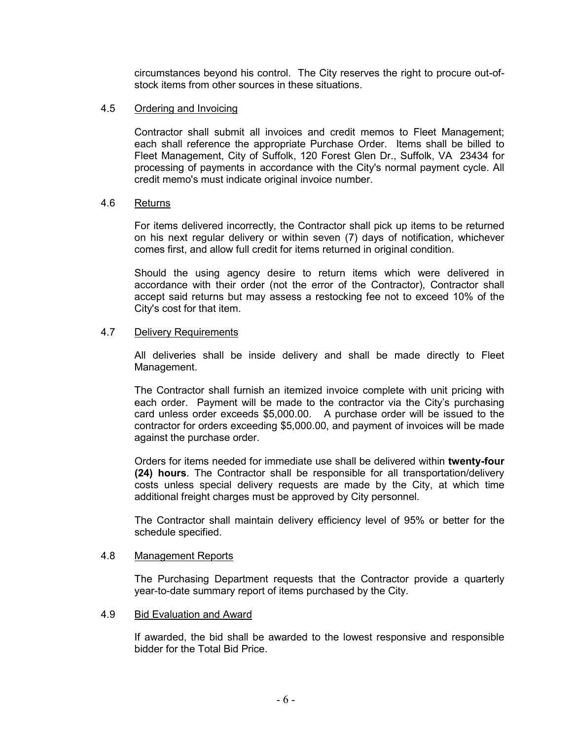circumstances beyond his control. The City reserves the right to procure out-ofstock items from other sources in these situations.

#### 4.5 Ordering and Invoicing

Contractor shall submit all invoices and credit memos to Fleet Management; each shall reference the appropriate Purchase Order. Items shall be billed to Fleet Management, City of Suffolk, 120 Forest Glen Dr., Suffolk, VA 23434 for processing of payments in accordance with the City's normal payment cycle. All credit memo's must indicate original invoice number.

#### 4.6 Returns

For items delivered incorrectly, the Contractor shall pick up items to be returned on his next regular delivery or within seven (7) days of notification, whichever comes first, and allow full credit for items returned in original condition.

Should the using agency desire to return items which were delivered in accordance with their order (not the error of the Contractor), Contractor shall accept said returns but may assess a restocking fee not to exceed 10% of the City's cost for that item.

#### 4.7 Delivery Requirements

All deliveries shall be inside delivery and shall be made directly to Fleet Management.

The Contractor shall furnish an itemized invoice complete with unit pricing with each order. Payment will be made to the contractor via the City's purchasing card unless order exceeds \$5,000.00. A purchase order will be issued to the contractor for orders exceeding \$5,000.00, and payment of invoices will be made against the purchase order.

Orders for items needed for immediate use shall be delivered within **twenty-four (24) hours**. The Contractor shall be responsible for all transportation/delivery costs unless special delivery requests are made by the City, at which time additional freight charges must be approved by City personnel.

The Contractor shall maintain delivery efficiency level of 95% or better for the schedule specified.

#### 4.8 Management Reports

The Purchasing Department requests that the Contractor provide a quarterly year-to-date summary report of items purchased by the City.

#### 4.9 Bid Evaluation and Award

If awarded, the bid shall be awarded to the lowest responsive and responsible bidder for the Total Bid Price.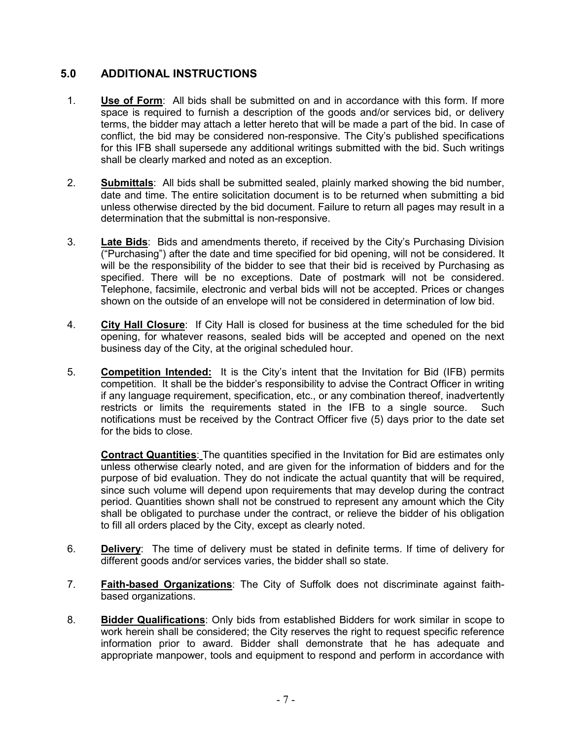### **5.0 ADDITIONAL INSTRUCTIONS**

- 1. **Use of Form**: All bids shall be submitted on and in accordance with this form. If more space is required to furnish a description of the goods and/or services bid, or delivery terms, the bidder may attach a letter hereto that will be made a part of the bid. In case of conflict, the bid may be considered non-responsive. The City's published specifications for this IFB shall supersede any additional writings submitted with the bid. Such writings shall be clearly marked and noted as an exception.
- 2. **Submittals**: All bids shall be submitted sealed, plainly marked showing the bid number, date and time. The entire solicitation document is to be returned when submitting a bid unless otherwise directed by the bid document. Failure to return all pages may result in a determination that the submittal is non-responsive.
- 3. **Late Bids**: Bids and amendments thereto, if received by the City's Purchasing Division ("Purchasing") after the date and time specified for bid opening, will not be considered. It will be the responsibility of the bidder to see that their bid is received by Purchasing as specified. There will be no exceptions. Date of postmark will not be considered. Telephone, facsimile, electronic and verbal bids will not be accepted. Prices or changes shown on the outside of an envelope will not be considered in determination of low bid.
- 4. **City Hall Closure**: If City Hall is closed for business at the time scheduled for the bid opening, for whatever reasons, sealed bids will be accepted and opened on the next business day of the City, at the original scheduled hour.
- 5. **Competition Intended:** It is the City's intent that the Invitation for Bid (IFB) permits competition. It shall be the bidder's responsibility to advise the Contract Officer in writing if any language requirement, specification, etc., or any combination thereof, inadvertently restricts or limits the requirements stated in the IFB to a single source. Such notifications must be received by the Contract Officer five (5) days prior to the date set for the bids to close.

**Contract Quantities**: The quantities specified in the Invitation for Bid are estimates only unless otherwise clearly noted, and are given for the information of bidders and for the purpose of bid evaluation. They do not indicate the actual quantity that will be required, since such volume will depend upon requirements that may develop during the contract period. Quantities shown shall not be construed to represent any amount which the City shall be obligated to purchase under the contract, or relieve the bidder of his obligation to fill all orders placed by the City, except as clearly noted.

- 6. **Delivery**: The time of delivery must be stated in definite terms. If time of delivery for different goods and/or services varies, the bidder shall so state.
- 7. **Faith-based Organizations**: The City of Suffolk does not discriminate against faithbased organizations.
- 8. **Bidder Qualifications**: Only bids from established Bidders for work similar in scope to work herein shall be considered; the City reserves the right to request specific reference information prior to award. Bidder shall demonstrate that he has adequate and appropriate manpower, tools and equipment to respond and perform in accordance with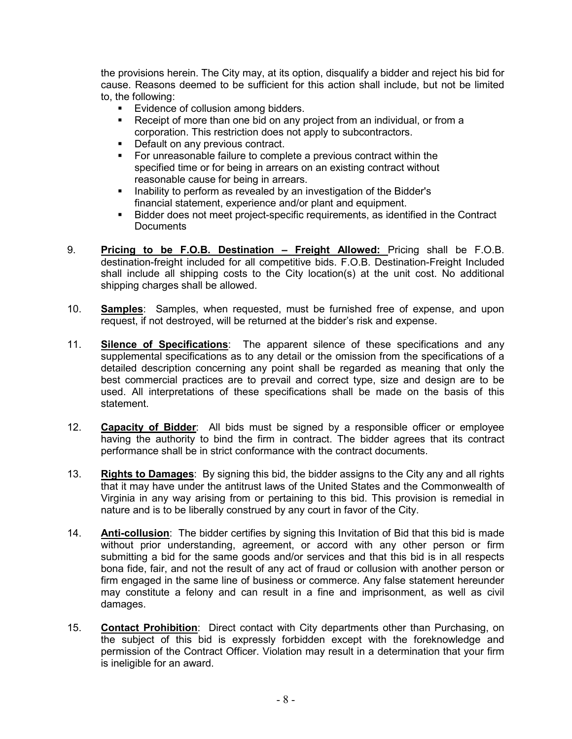the provisions herein. The City may, at its option, disqualify a bidder and reject his bid for cause. Reasons deemed to be sufficient for this action shall include, but not be limited to, the following:

- **Evidence of collusion among bidders.**
- Receipt of more than one bid on any project from an individual, or from a corporation. This restriction does not apply to subcontractors.
- **Default on any previous contract.**
- **For unreasonable failure to complete a previous contract within the** specified time or for being in arrears on an existing contract without reasonable cause for being in arrears.
- Inability to perform as revealed by an investigation of the Bidder's financial statement, experience and/or plant and equipment.
- Bidder does not meet project-specific requirements, as identified in the Contract **Documents**
- 9. **Pricing to be F.O.B. Destination – Freight Allowed:** Pricing shall be F.O.B. destination-freight included for all competitive bids. F.O.B. Destination-Freight Included shall include all shipping costs to the City location(s) at the unit cost. No additional shipping charges shall be allowed.
- 10. **Samples**: Samples, when requested, must be furnished free of expense, and upon request, if not destroyed, will be returned at the bidder's risk and expense.
- 11. **Silence of Specifications**: The apparent silence of these specifications and any supplemental specifications as to any detail or the omission from the specifications of a detailed description concerning any point shall be regarded as meaning that only the best commercial practices are to prevail and correct type, size and design are to be used. All interpretations of these specifications shall be made on the basis of this statement.
- 12. **Capacity of Bidder**: All bids must be signed by a responsible officer or employee having the authority to bind the firm in contract. The bidder agrees that its contract performance shall be in strict conformance with the contract documents.
- 13. **Rights to Damages**: By signing this bid, the bidder assigns to the City any and all rights that it may have under the antitrust laws of the United States and the Commonwealth of Virginia in any way arising from or pertaining to this bid. This provision is remedial in nature and is to be liberally construed by any court in favor of the City.
- 14. **Anti-collusion**: The bidder certifies by signing this Invitation of Bid that this bid is made without prior understanding, agreement, or accord with any other person or firm submitting a bid for the same goods and/or services and that this bid is in all respects bona fide, fair, and not the result of any act of fraud or collusion with another person or firm engaged in the same line of business or commerce. Any false statement hereunder may constitute a felony and can result in a fine and imprisonment, as well as civil damages.
- 15. **Contact Prohibition**: Direct contact with City departments other than Purchasing, on the subject of this bid is expressly forbidden except with the foreknowledge and permission of the Contract Officer. Violation may result in a determination that your firm is ineligible for an award.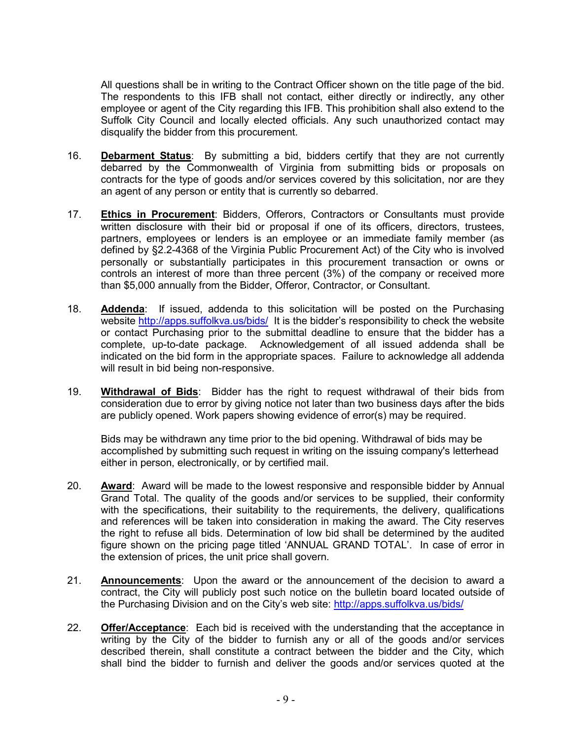All questions shall be in writing to the Contract Officer shown on the title page of the bid. The respondents to this IFB shall not contact, either directly or indirectly, any other employee or agent of the City regarding this IFB. This prohibition shall also extend to the Suffolk City Council and locally elected officials. Any such unauthorized contact may disqualify the bidder from this procurement.

- 16. **Debarment Status**: By submitting a bid, bidders certify that they are not currently debarred by the Commonwealth of Virginia from submitting bids or proposals on contracts for the type of goods and/or services covered by this solicitation, nor are they an agent of any person or entity that is currently so debarred.
- 17. **Ethics in Procurement**: Bidders, Offerors, Contractors or Consultants must provide written disclosure with their bid or proposal if one of its officers, directors, trustees, partners, employees or lenders is an employee or an immediate family member (as defined by §2.2-4368 of the Virginia Public Procurement Act) of the City who is involved personally or substantially participates in this procurement transaction or owns or controls an interest of more than three percent (3%) of the company or received more than \$5,000 annually from the Bidder, Offeror, Contractor, or Consultant.
- 18. **Addenda**: If issued, addenda to this solicitation will be posted on the Purchasing website<http://apps.suffolkva.us/bids/>It is the bidder's responsibility to check the website or contact Purchasing prior to the submittal deadline to ensure that the bidder has a complete, up-to-date package. Acknowledgement of all issued addenda shall be indicated on the bid form in the appropriate spaces. Failure to acknowledge all addenda will result in bid being non-responsive.
- 19. **Withdrawal of Bids**: Bidder has the right to request withdrawal of their bids from consideration due to error by giving notice not later than two business days after the bids are publicly opened. Work papers showing evidence of error(s) may be required.

Bids may be withdrawn any time prior to the bid opening. Withdrawal of bids may be accomplished by submitting such request in writing on the issuing company's letterhead either in person, electronically, or by certified mail.

- 20. **Award**: Award will be made to the lowest responsive and responsible bidder by Annual Grand Total. The quality of the goods and/or services to be supplied, their conformity with the specifications, their suitability to the requirements, the delivery, qualifications and references will be taken into consideration in making the award. The City reserves the right to refuse all bids. Determination of low bid shall be determined by the audited figure shown on the pricing page titled 'ANNUAL GRAND TOTAL'. In case of error in the extension of prices, the unit price shall govern.
- 21. **Announcements**: Upon the award or the announcement of the decision to award a contract, the City will publicly post such notice on the bulletin board located outside of the Purchasing Division and on the City's web site:<http://apps.suffolkva.us/bids/>
- 22. **Offer/Acceptance**: Each bid is received with the understanding that the acceptance in writing by the City of the bidder to furnish any or all of the goods and/or services described therein, shall constitute a contract between the bidder and the City, which shall bind the bidder to furnish and deliver the goods and/or services quoted at the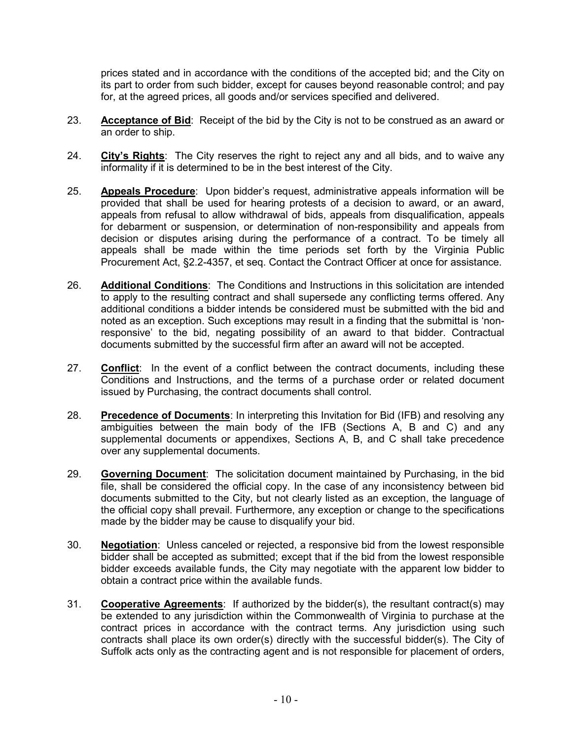prices stated and in accordance with the conditions of the accepted bid; and the City on its part to order from such bidder, except for causes beyond reasonable control; and pay for, at the agreed prices, all goods and/or services specified and delivered.

- 23. **Acceptance of Bid**: Receipt of the bid by the City is not to be construed as an award or an order to ship.
- 24. **City's Rights**: The City reserves the right to reject any and all bids, and to waive any informality if it is determined to be in the best interest of the City.
- 25. **Appeals Procedure**: Upon bidder's request, administrative appeals information will be provided that shall be used for hearing protests of a decision to award, or an award, appeals from refusal to allow withdrawal of bids, appeals from disqualification, appeals for debarment or suspension, or determination of non-responsibility and appeals from decision or disputes arising during the performance of a contract. To be timely all appeals shall be made within the time periods set forth by the Virginia Public Procurement Act, §2.2-4357, et seq. Contact the Contract Officer at once for assistance.
- 26. **Additional Conditions**: The Conditions and Instructions in this solicitation are intended to apply to the resulting contract and shall supersede any conflicting terms offered. Any additional conditions a bidder intends be considered must be submitted with the bid and noted as an exception. Such exceptions may result in a finding that the submittal is 'nonresponsive' to the bid, negating possibility of an award to that bidder. Contractual documents submitted by the successful firm after an award will not be accepted.
- 27. **Conflict**: In the event of a conflict between the contract documents, including these Conditions and Instructions, and the terms of a purchase order or related document issued by Purchasing, the contract documents shall control.
- 28. **Precedence of Documents**: In interpreting this Invitation for Bid (IFB) and resolving any ambiguities between the main body of the IFB (Sections A, B and C) and any supplemental documents or appendixes, Sections A, B, and C shall take precedence over any supplemental documents.
- 29. **Governing Document**: The solicitation document maintained by Purchasing, in the bid file, shall be considered the official copy. In the case of any inconsistency between bid documents submitted to the City, but not clearly listed as an exception, the language of the official copy shall prevail. Furthermore, any exception or change to the specifications made by the bidder may be cause to disqualify your bid.
- 30. **Negotiation**: Unless canceled or rejected, a responsive bid from the lowest responsible bidder shall be accepted as submitted; except that if the bid from the lowest responsible bidder exceeds available funds, the City may negotiate with the apparent low bidder to obtain a contract price within the available funds.
- 31. **Cooperative Agreements**: If authorized by the bidder(s), the resultant contract(s) may be extended to any jurisdiction within the Commonwealth of Virginia to purchase at the contract prices in accordance with the contract terms. Any jurisdiction using such contracts shall place its own order(s) directly with the successful bidder(s). The City of Suffolk acts only as the contracting agent and is not responsible for placement of orders,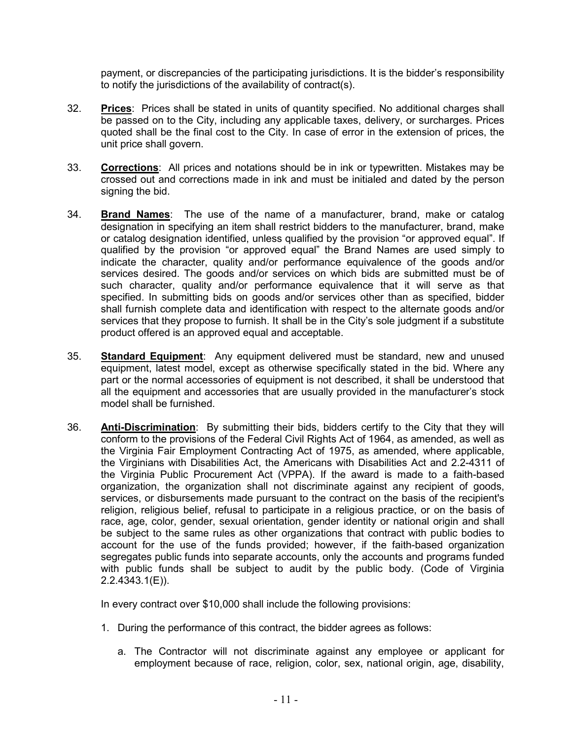payment, or discrepancies of the participating jurisdictions. It is the bidder's responsibility to notify the jurisdictions of the availability of contract(s).

- 32. **Prices**: Prices shall be stated in units of quantity specified. No additional charges shall be passed on to the City, including any applicable taxes, delivery, or surcharges. Prices quoted shall be the final cost to the City. In case of error in the extension of prices, the unit price shall govern.
- 33. **Corrections**: All prices and notations should be in ink or typewritten. Mistakes may be crossed out and corrections made in ink and must be initialed and dated by the person signing the bid.
- 34. **Brand Names**: The use of the name of a manufacturer, brand, make or catalog designation in specifying an item shall restrict bidders to the manufacturer, brand, make or catalog designation identified, unless qualified by the provision "or approved equal". If qualified by the provision "or approved equal" the Brand Names are used simply to indicate the character, quality and/or performance equivalence of the goods and/or services desired. The goods and/or services on which bids are submitted must be of such character, quality and/or performance equivalence that it will serve as that specified. In submitting bids on goods and/or services other than as specified, bidder shall furnish complete data and identification with respect to the alternate goods and/or services that they propose to furnish. It shall be in the City's sole judgment if a substitute product offered is an approved equal and acceptable.
- 35. **Standard Equipment**: Any equipment delivered must be standard, new and unused equipment, latest model, except as otherwise specifically stated in the bid. Where any part or the normal accessories of equipment is not described, it shall be understood that all the equipment and accessories that are usually provided in the manufacturer's stock model shall be furnished.
- 36. **Anti-Discrimination**: By submitting their bids, bidders certify to the City that they will conform to the provisions of the Federal Civil Rights Act of 1964, as amended, as well as the Virginia Fair Employment Contracting Act of 1975, as amended, where applicable, the Virginians with Disabilities Act, the Americans with Disabilities Act and 2.2-4311 of the Virginia Public Procurement Act (VPPA). If the award is made to a faith-based organization, the organization shall not discriminate against any recipient of goods, services, or disbursements made pursuant to the contract on the basis of the recipient's religion, religious belief, refusal to participate in a religious practice, or on the basis of race, age, color, gender, sexual orientation, gender identity or national origin and shall be subject to the same rules as other organizations that contract with public bodies to account for the use of the funds provided; however, if the faith-based organization segregates public funds into separate accounts, only the accounts and programs funded with public funds shall be subject to audit by the public body. (Code of Virginia 2.2.4343.1(E)).

In every contract over \$10,000 shall include the following provisions:

- 1. During the performance of this contract, the bidder agrees as follows:
	- a. The Contractor will not discriminate against any employee or applicant for employment because of race, religion, color, sex, national origin, age, disability,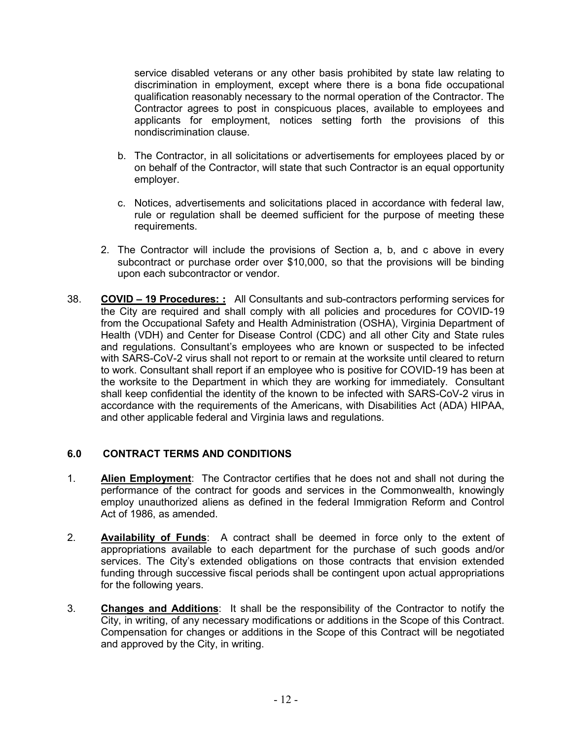service disabled veterans or any other basis prohibited by state law relating to discrimination in employment, except where there is a bona fide occupational qualification reasonably necessary to the normal operation of the Contractor. The Contractor agrees to post in conspicuous places, available to employees and applicants for employment, notices setting forth the provisions of this nondiscrimination clause.

- b. The Contractor, in all solicitations or advertisements for employees placed by or on behalf of the Contractor, will state that such Contractor is an equal opportunity employer.
- c. Notices, advertisements and solicitations placed in accordance with federal law, rule or regulation shall be deemed sufficient for the purpose of meeting these requirements.
- 2. The Contractor will include the provisions of Section a, b, and c above in every subcontract or purchase order over \$10,000, so that the provisions will be binding upon each subcontractor or vendor.
- 38. **COVID – 19 Procedures: :** All Consultants and sub-contractors performing services for the City are required and shall comply with all policies and procedures for COVID-19 from the Occupational Safety and Health Administration (OSHA), Virginia Department of Health (VDH) and Center for Disease Control (CDC) and all other City and State rules and regulations. Consultant's employees who are known or suspected to be infected with SARS-CoV-2 virus shall not report to or remain at the worksite until cleared to return to work. Consultant shall report if an employee who is positive for COVID-19 has been at the worksite to the Department in which they are working for immediately. Consultant shall keep confidential the identity of the known to be infected with SARS-CoV-2 virus in accordance with the requirements of the Americans, with Disabilities Act (ADA) HIPAA, and other applicable federal and Virginia laws and regulations.

#### **6.0 CONTRACT TERMS AND CONDITIONS**

- 1. **Alien Employment**: The Contractor certifies that he does not and shall not during the performance of the contract for goods and services in the Commonwealth, knowingly employ unauthorized aliens as defined in the federal Immigration Reform and Control Act of 1986, as amended.
- 2. **Availability of Funds**: A contract shall be deemed in force only to the extent of appropriations available to each department for the purchase of such goods and/or services. The City's extended obligations on those contracts that envision extended funding through successive fiscal periods shall be contingent upon actual appropriations for the following years.
- 3. **Changes and Additions**: It shall be the responsibility of the Contractor to notify the City, in writing, of any necessary modifications or additions in the Scope of this Contract. Compensation for changes or additions in the Scope of this Contract will be negotiated and approved by the City, in writing.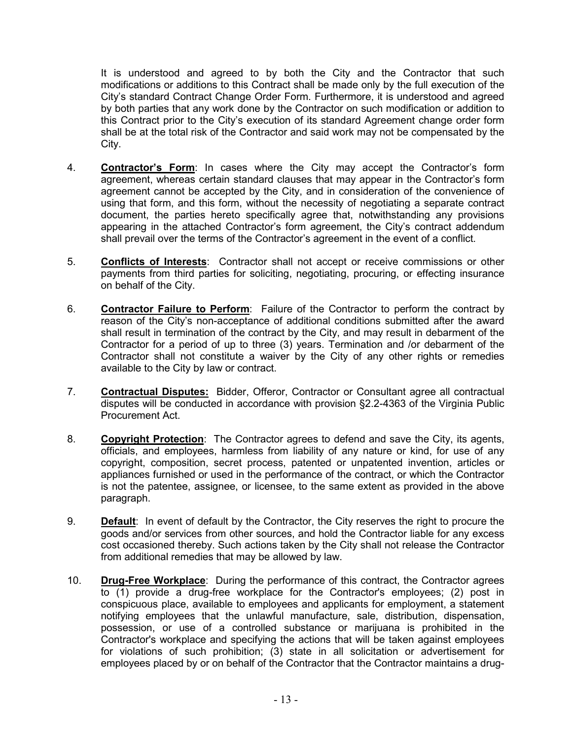It is understood and agreed to by both the City and the Contractor that such modifications or additions to this Contract shall be made only by the full execution of the City's standard Contract Change Order Form. Furthermore, it is understood and agreed by both parties that any work done by the Contractor on such modification or addition to this Contract prior to the City's execution of its standard Agreement change order form shall be at the total risk of the Contractor and said work may not be compensated by the City.

- 4. **Contractor's Form**: In cases where the City may accept the Contractor's form agreement, whereas certain standard clauses that may appear in the Contractor's form agreement cannot be accepted by the City, and in consideration of the convenience of using that form, and this form, without the necessity of negotiating a separate contract document, the parties hereto specifically agree that, notwithstanding any provisions appearing in the attached Contractor's form agreement, the City's contract addendum shall prevail over the terms of the Contractor's agreement in the event of a conflict.
- 5. **Conflicts of Interests**: Contractor shall not accept or receive commissions or other payments from third parties for soliciting, negotiating, procuring, or effecting insurance on behalf of the City.
- 6. **Contractor Failure to Perform**: Failure of the Contractor to perform the contract by reason of the City's non-acceptance of additional conditions submitted after the award shall result in termination of the contract by the City, and may result in debarment of the Contractor for a period of up to three (3) years. Termination and /or debarment of the Contractor shall not constitute a waiver by the City of any other rights or remedies available to the City by law or contract.
- 7. **Contractual Disputes:** Bidder, Offeror, Contractor or Consultant agree all contractual disputes will be conducted in accordance with provision §2.2-4363 of the Virginia Public Procurement Act.
- 8. **Copyright Protection**: The Contractor agrees to defend and save the City, its agents, officials, and employees, harmless from liability of any nature or kind, for use of any copyright, composition, secret process, patented or unpatented invention, articles or appliances furnished or used in the performance of the contract, or which the Contractor is not the patentee, assignee, or licensee, to the same extent as provided in the above paragraph.
- 9. **Default**: In event of default by the Contractor, the City reserves the right to procure the goods and/or services from other sources, and hold the Contractor liable for any excess cost occasioned thereby. Such actions taken by the City shall not release the Contractor from additional remedies that may be allowed by law.
- 10. **Drug-Free Workplace**: During the performance of this contract, the Contractor agrees to (1) provide a drug-free workplace for the Contractor's employees; (2) post in conspicuous place, available to employees and applicants for employment, a statement notifying employees that the unlawful manufacture, sale, distribution, dispensation, possession, or use of a controlled substance or marijuana is prohibited in the Contractor's workplace and specifying the actions that will be taken against employees for violations of such prohibition; (3) state in all solicitation or advertisement for employees placed by or on behalf of the Contractor that the Contractor maintains a drug-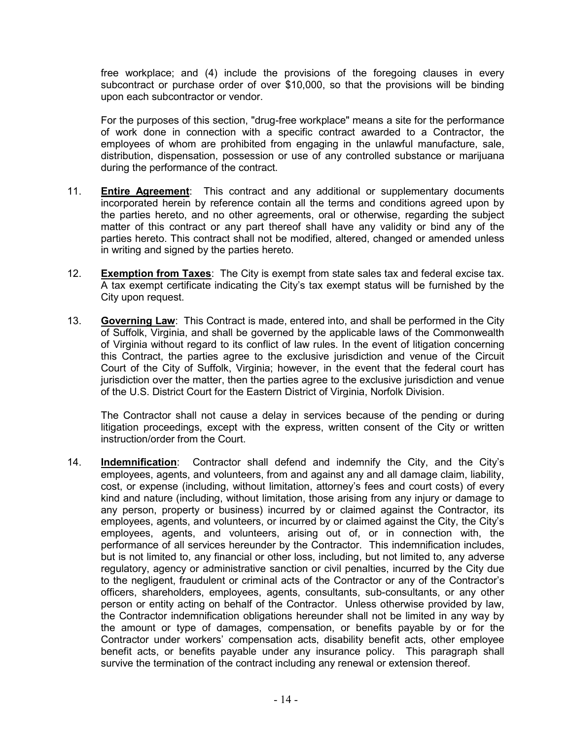free workplace; and (4) include the provisions of the foregoing clauses in every subcontract or purchase order of over \$10,000, so that the provisions will be binding upon each subcontractor or vendor.

For the purposes of this section, "drug-free workplace" means a site for the performance of work done in connection with a specific contract awarded to a Contractor, the employees of whom are prohibited from engaging in the unlawful manufacture, sale, distribution, dispensation, possession or use of any controlled substance or marijuana during the performance of the contract.

- 11. **Entire Agreement**: This contract and any additional or supplementary documents incorporated herein by reference contain all the terms and conditions agreed upon by the parties hereto, and no other agreements, oral or otherwise, regarding the subject matter of this contract or any part thereof shall have any validity or bind any of the parties hereto. This contract shall not be modified, altered, changed or amended unless in writing and signed by the parties hereto.
- 12. **Exemption from Taxes**: The City is exempt from state sales tax and federal excise tax. A tax exempt certificate indicating the City's tax exempt status will be furnished by the City upon request.
- 13. **Governing Law**: This Contract is made, entered into, and shall be performed in the City of Suffolk, Virginia, and shall be governed by the applicable laws of the Commonwealth of Virginia without regard to its conflict of law rules. In the event of litigation concerning this Contract, the parties agree to the exclusive jurisdiction and venue of the Circuit Court of the City of Suffolk, Virginia; however, in the event that the federal court has jurisdiction over the matter, then the parties agree to the exclusive jurisdiction and venue of the U.S. District Court for the Eastern District of Virginia, Norfolk Division.

The Contractor shall not cause a delay in services because of the pending or during litigation proceedings, except with the express, written consent of the City or written instruction/order from the Court.

14. **Indemnification**: Contractor shall defend and indemnify the City, and the City's employees, agents, and volunteers, from and against any and all damage claim, liability, cost, or expense (including, without limitation, attorney's fees and court costs) of every kind and nature (including, without limitation, those arising from any injury or damage to any person, property or business) incurred by or claimed against the Contractor, its employees, agents, and volunteers, or incurred by or claimed against the City, the City's employees, agents, and volunteers, arising out of, or in connection with, the performance of all services hereunder by the Contractor. This indemnification includes, but is not limited to, any financial or other loss, including, but not limited to, any adverse regulatory, agency or administrative sanction or civil penalties, incurred by the City due to the negligent, fraudulent or criminal acts of the Contractor or any of the Contractor's officers, shareholders, employees, agents, consultants, sub-consultants, or any other person or entity acting on behalf of the Contractor. Unless otherwise provided by law, the Contractor indemnification obligations hereunder shall not be limited in any way by the amount or type of damages, compensation, or benefits payable by or for the Contractor under workers' compensation acts, disability benefit acts, other employee benefit acts, or benefits payable under any insurance policy. This paragraph shall survive the termination of the contract including any renewal or extension thereof.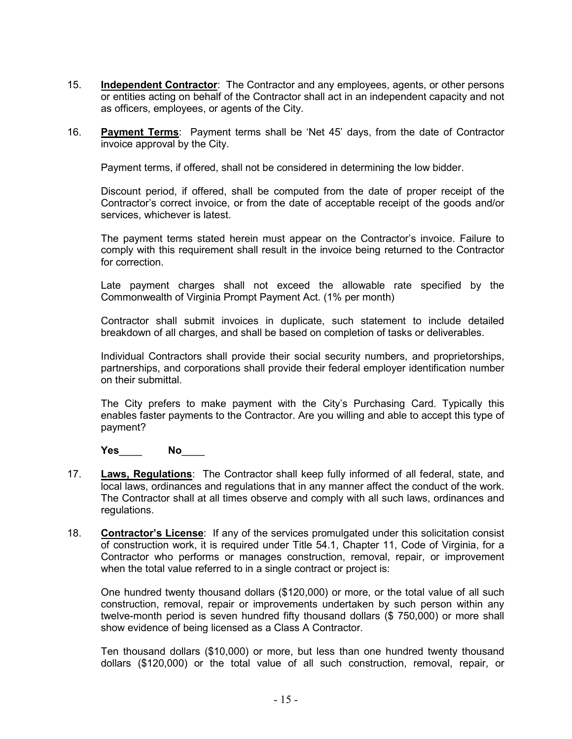- 15. **Independent Contractor**: The Contractor and any employees, agents, or other persons or entities acting on behalf of the Contractor shall act in an independent capacity and not as officers, employees, or agents of the City.
- 16. **Payment Terms**: Payment terms shall be 'Net 45' days, from the date of Contractor invoice approval by the City.

Payment terms, if offered, shall not be considered in determining the low bidder.

Discount period, if offered, shall be computed from the date of proper receipt of the Contractor's correct invoice, or from the date of acceptable receipt of the goods and/or services, whichever is latest.

The payment terms stated herein must appear on the Contractor's invoice. Failure to comply with this requirement shall result in the invoice being returned to the Contractor for correction.

Late payment charges shall not exceed the allowable rate specified by the Commonwealth of Virginia Prompt Payment Act. (1% per month)

Contractor shall submit invoices in duplicate, such statement to include detailed breakdown of all charges, and shall be based on completion of tasks or deliverables.

Individual Contractors shall provide their social security numbers, and proprietorships, partnerships, and corporations shall provide their federal employer identification number on their submittal.

The City prefers to make payment with the City's Purchasing Card. Typically this enables faster payments to the Contractor. Are you willing and able to accept this type of payment?

**Yes**\_\_\_\_ **No**\_\_\_\_

- 17. **Laws, Regulations**: The Contractor shall keep fully informed of all federal, state, and local laws, ordinances and regulations that in any manner affect the conduct of the work. The Contractor shall at all times observe and comply with all such laws, ordinances and regulations.
- 18. **Contractor's License**: If any of the services promulgated under this solicitation consist of construction work, it is required under Title 54.1, Chapter 11, Code of Virginia, for a Contractor who performs or manages construction, removal, repair, or improvement when the total value referred to in a single contract or project is:

One hundred twenty thousand dollars (\$120,000) or more, or the total value of all such construction, removal, repair or improvements undertaken by such person within any twelve-month period is seven hundred fifty thousand dollars (\$ 750,000) or more shall show evidence of being licensed as a Class A Contractor.

Ten thousand dollars (\$10,000) or more, but less than one hundred twenty thousand dollars (\$120,000) or the total value of all such construction, removal, repair, or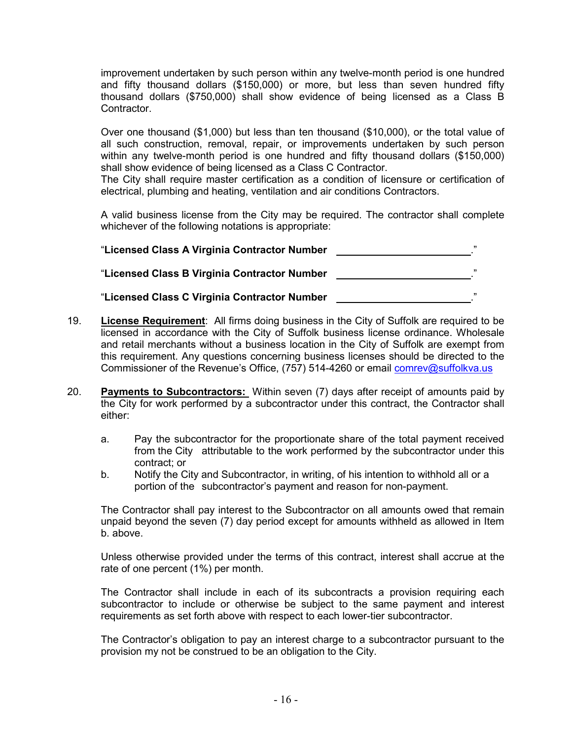improvement undertaken by such person within any twelve-month period is one hundred and fifty thousand dollars (\$150,000) or more, but less than seven hundred fifty thousand dollars (\$750,000) shall show evidence of being licensed as a Class B Contractor.

Over one thousand (\$1,000) but less than ten thousand (\$10,000), or the total value of all such construction, removal, repair, or improvements undertaken by such person within any twelve-month period is one hundred and fifty thousand dollars (\$150,000) shall show evidence of being licensed as a Class C Contractor.

The City shall require master certification as a condition of licensure or certification of electrical, plumbing and heating, ventilation and air conditions Contractors.

A valid business license from the City may be required. The contractor shall complete whichever of the following notations is appropriate:

| "Licensed Class A Virginia Contractor Number | ,,, |
|----------------------------------------------|-----|
| "Licensed Class B Virginia Contractor Number | ,,, |
| "Licensed Class C Virginia Contractor Number | ,,, |

- 19. **License Requirement**: All firms doing business in the City of Suffolk are required to be licensed in accordance with the City of Suffolk business license ordinance. Wholesale and retail merchants without a business location in the City of Suffolk are exempt from this requirement. Any questions concerning business licenses should be directed to the Commissioner of the Revenue's Office, (757) 514-4260 or email [comrev@suffolkva.us](mailto:comrev@suffolkva.us)
- 20. **Payments to Subcontractors:** Within seven (7) days after receipt of amounts paid by the City for work performed by a subcontractor under this contract, the Contractor shall either:
	- a. Pay the subcontractor for the proportionate share of the total payment received from the City attributable to the work performed by the subcontractor under this contract; or
	- b. Notify the City and Subcontractor, in writing, of his intention to withhold all or a portion of the subcontractor's payment and reason for non-payment.

The Contractor shall pay interest to the Subcontractor on all amounts owed that remain unpaid beyond the seven (7) day period except for amounts withheld as allowed in Item b. above.

Unless otherwise provided under the terms of this contract, interest shall accrue at the rate of one percent (1%) per month.

The Contractor shall include in each of its subcontracts a provision requiring each subcontractor to include or otherwise be subject to the same payment and interest requirements as set forth above with respect to each lower-tier subcontractor.

The Contractor's obligation to pay an interest charge to a subcontractor pursuant to the provision my not be construed to be an obligation to the City.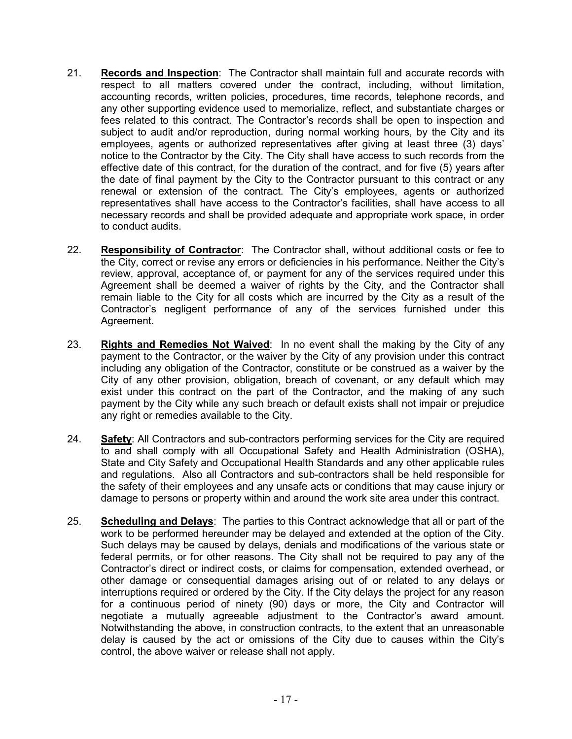- 21. **Records and Inspection**: The Contractor shall maintain full and accurate records with respect to all matters covered under the contract, including, without limitation, accounting records, written policies, procedures, time records, telephone records, and any other supporting evidence used to memorialize, reflect, and substantiate charges or fees related to this contract. The Contractor's records shall be open to inspection and subject to audit and/or reproduction, during normal working hours, by the City and its employees, agents or authorized representatives after giving at least three (3) days' notice to the Contractor by the City. The City shall have access to such records from the effective date of this contract, for the duration of the contract, and for five (5) years after the date of final payment by the City to the Contractor pursuant to this contract or any renewal or extension of the contract. The City's employees, agents or authorized representatives shall have access to the Contractor's facilities, shall have access to all necessary records and shall be provided adequate and appropriate work space, in order to conduct audits.
- 22. **Responsibility of Contractor**: The Contractor shall, without additional costs or fee to the City, correct or revise any errors or deficiencies in his performance. Neither the City's review, approval, acceptance of, or payment for any of the services required under this Agreement shall be deemed a waiver of rights by the City, and the Contractor shall remain liable to the City for all costs which are incurred by the City as a result of the Contractor's negligent performance of any of the services furnished under this Agreement.
- 23. **Rights and Remedies Not Waived**: In no event shall the making by the City of any payment to the Contractor, or the waiver by the City of any provision under this contract including any obligation of the Contractor, constitute or be construed as a waiver by the City of any other provision, obligation, breach of covenant, or any default which may exist under this contract on the part of the Contractor, and the making of any such payment by the City while any such breach or default exists shall not impair or prejudice any right or remedies available to the City.
- 24. **Safety**: All Contractors and sub-contractors performing services for the City are required to and shall comply with all Occupational Safety and Health Administration (OSHA), State and City Safety and Occupational Health Standards and any other applicable rules and regulations. Also all Contractors and sub-contractors shall be held responsible for the safety of their employees and any unsafe acts or conditions that may cause injury or damage to persons or property within and around the work site area under this contract.
- 25. **Scheduling and Delays**: The parties to this Contract acknowledge that all or part of the work to be performed hereunder may be delayed and extended at the option of the City. Such delays may be caused by delays, denials and modifications of the various state or federal permits, or for other reasons. The City shall not be required to pay any of the Contractor's direct or indirect costs, or claims for compensation, extended overhead, or other damage or consequential damages arising out of or related to any delays or interruptions required or ordered by the City. If the City delays the project for any reason for a continuous period of ninety (90) days or more, the City and Contractor will negotiate a mutually agreeable adjustment to the Contractor's award amount. Notwithstanding the above, in construction contracts, to the extent that an unreasonable delay is caused by the act or omissions of the City due to causes within the City's control, the above waiver or release shall not apply.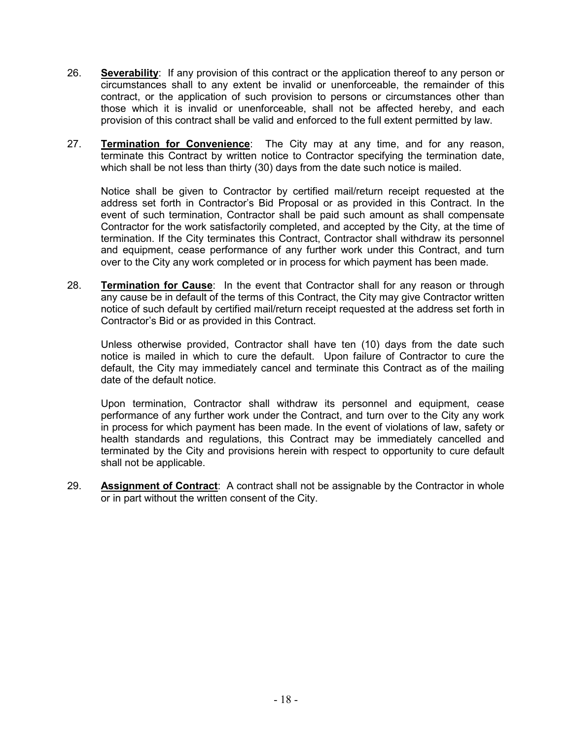- 26. **Severability**: If any provision of this contract or the application thereof to any person or circumstances shall to any extent be invalid or unenforceable, the remainder of this contract, or the application of such provision to persons or circumstances other than those which it is invalid or unenforceable, shall not be affected hereby, and each provision of this contract shall be valid and enforced to the full extent permitted by law.
- 27. **Termination for Convenience**: The City may at any time, and for any reason, terminate this Contract by written notice to Contractor specifying the termination date, which shall be not less than thirty (30) days from the date such notice is mailed.

Notice shall be given to Contractor by certified mail/return receipt requested at the address set forth in Contractor's Bid Proposal or as provided in this Contract. In the event of such termination, Contractor shall be paid such amount as shall compensate Contractor for the work satisfactorily completed, and accepted by the City, at the time of termination. If the City terminates this Contract, Contractor shall withdraw its personnel and equipment, cease performance of any further work under this Contract, and turn over to the City any work completed or in process for which payment has been made.

28. **Termination for Cause**: In the event that Contractor shall for any reason or through any cause be in default of the terms of this Contract, the City may give Contractor written notice of such default by certified mail/return receipt requested at the address set forth in Contractor's Bid or as provided in this Contract.

Unless otherwise provided, Contractor shall have ten (10) days from the date such notice is mailed in which to cure the default. Upon failure of Contractor to cure the default, the City may immediately cancel and terminate this Contract as of the mailing date of the default notice.

Upon termination, Contractor shall withdraw its personnel and equipment, cease performance of any further work under the Contract, and turn over to the City any work in process for which payment has been made. In the event of violations of law, safety or health standards and regulations, this Contract may be immediately cancelled and terminated by the City and provisions herein with respect to opportunity to cure default shall not be applicable.

29. **Assignment of Contract**: A contract shall not be assignable by the Contractor in whole or in part without the written consent of the City.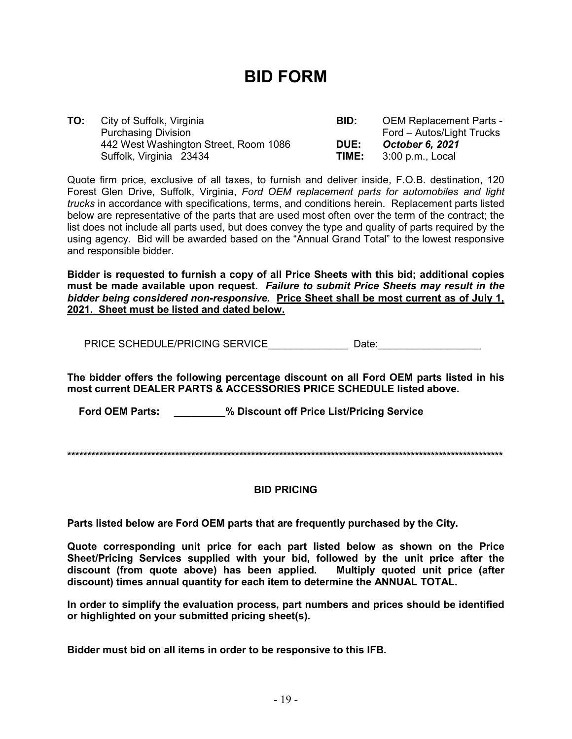# **BID FORM**

| TO: | City of Suffolk, Virginia             | BID:        | <b>OEM Replacement Parts -</b> |
|-----|---------------------------------------|-------------|--------------------------------|
|     | <b>Purchasing Division</b>            |             | Ford – Autos/Light Trucks      |
|     | 442 West Washington Street, Room 1086 | <b>DUE:</b> | October 6, 2021                |
|     | Suffolk, Virginia 23434               | TIME:       | 3:00 p.m., Local               |

Quote firm price, exclusive of all taxes, to furnish and deliver inside, F.O.B. destination, 120 Forest Glen Drive, Suffolk, Virginia, *Ford OEM replacement parts for automobiles and light trucks* in accordance with specifications, terms, and conditions herein. Replacement parts listed below are representative of the parts that are used most often over the term of the contract; the list does not include all parts used, but does convey the type and quality of parts required by the using agency. Bid will be awarded based on the "Annual Grand Total" to the lowest responsive and responsible bidder.

**Bidder is requested to furnish a copy of all Price Sheets with this bid; additional copies must be made available upon request.** *Failure to submit Price Sheets may result in the bidder being considered non-responsive.* **Price Sheet shall be most current as of July 1, 2021. Sheet must be listed and dated below.**

PRICE SCHEDULE/PRICING SERVICE The contract of Date:

**The bidder offers the following percentage discount on all Ford OEM parts listed in his most current DEALER PARTS & ACCESSORIES PRICE SCHEDULE listed above.** 

 **Ford OEM Parts: \_\_\_\_\_\_\_\_\_% Discount off Price List/Pricing Service**

**\*\*\*\*\*\*\*\*\*\*\*\*\*\*\*\*\*\*\*\*\*\*\*\*\*\*\*\*\*\*\*\*\*\*\*\*\*\*\*\*\*\*\*\*\*\*\*\*\*\*\*\*\*\*\*\*\*\*\*\*\*\*\*\*\*\*\*\*\*\*\*\*\*\*\*\*\*\*\*\*\*\*\*\*\*\*\*\*\*\*\*\*\*\*\*\*\*\*\*\*\*\*\*\*\*\*\*\*\***

#### **BID PRICING**

**Parts listed below are Ford OEM parts that are frequently purchased by the City.**

**Quote corresponding unit price for each part listed below as shown on the Price Sheet/Pricing Services supplied with your bid, followed by the unit price after the**  discount (from quote above) has been applied. **discount) times annual quantity for each item to determine the ANNUAL TOTAL.**

**In order to simplify the evaluation process, part numbers and prices should be identified or highlighted on your submitted pricing sheet(s).** 

**Bidder must bid on all items in order to be responsive to this IFB.**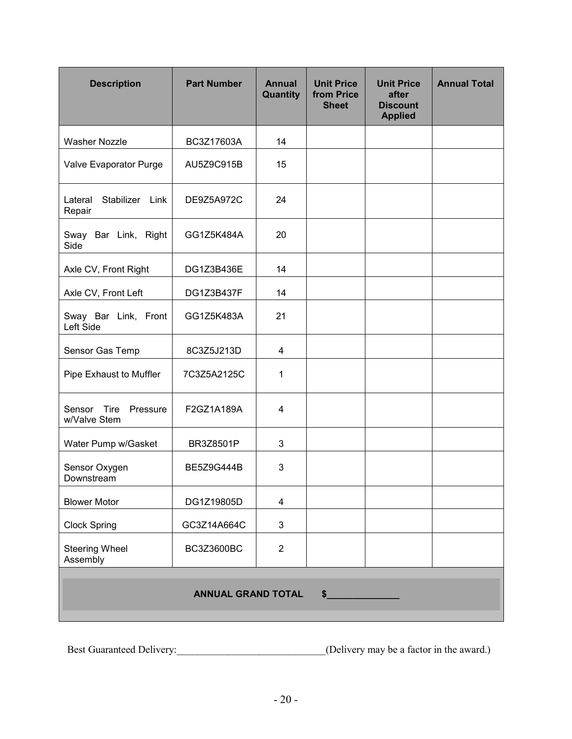| <b>Description</b>                         | <b>Part Number</b> | <b>Annual</b><br>Quantity | <b>Unit Price</b><br>from Price<br><b>Sheet</b> | <b>Unit Price</b><br>after<br><b>Discount</b><br><b>Applied</b> | <b>Annual Total</b> |
|--------------------------------------------|--------------------|---------------------------|-------------------------------------------------|-----------------------------------------------------------------|---------------------|
| <b>Washer Nozzle</b>                       | BC3Z17603A         | 14                        |                                                 |                                                                 |                     |
| Valve Evaporator Purge                     | AU5Z9C915B         | 15                        |                                                 |                                                                 |                     |
| Stabilizer Link<br>Lateral<br>Repair       | DE9Z5A972C         | 24                        |                                                 |                                                                 |                     |
| Sway Bar Link, Right<br>Side               | GG1Z5K484A         | 20                        |                                                 |                                                                 |                     |
| Axle CV, Front Right                       | DG1Z3B436E         | 14                        |                                                 |                                                                 |                     |
| Axle CV, Front Left                        | DG1Z3B437F         | 14                        |                                                 |                                                                 |                     |
| Sway Bar Link, Front<br>Left Side          | GG1Z5K483A         | 21                        |                                                 |                                                                 |                     |
| Sensor Gas Temp                            | 8C3Z5J213D         | 4                         |                                                 |                                                                 |                     |
| Pipe Exhaust to Muffler                    | 7C3Z5A2125C        | 1                         |                                                 |                                                                 |                     |
| Tire<br>Sensor<br>Pressure<br>w/Valve Stem | F2GZ1A189A         | 4                         |                                                 |                                                                 |                     |
| Water Pump w/Gasket                        | BR3Z8501P          | 3                         |                                                 |                                                                 |                     |
| Sensor Oxygen<br>Downstream                | <b>BE5Z9G444B</b>  | 3                         |                                                 |                                                                 |                     |
| <b>Blower Motor</b>                        | DG1Z19805D         | 4                         |                                                 |                                                                 |                     |
| <b>Clock Spring</b>                        | GC3Z14A664C        | $\mathbf{3}$              |                                                 |                                                                 |                     |
| <b>Steering Wheel</b><br>Assembly          | BC3Z3600BC         | $\overline{2}$            |                                                 |                                                                 |                     |
| <b>ANNUAL GRAND TOTAL</b><br>$\sim$        |                    |                           |                                                 |                                                                 |                     |

Best Guaranteed Delivery:\_\_\_\_\_\_\_\_\_\_\_\_\_\_\_\_\_\_\_\_\_\_\_\_\_\_\_\_\_(Delivery may be a factor in the award.)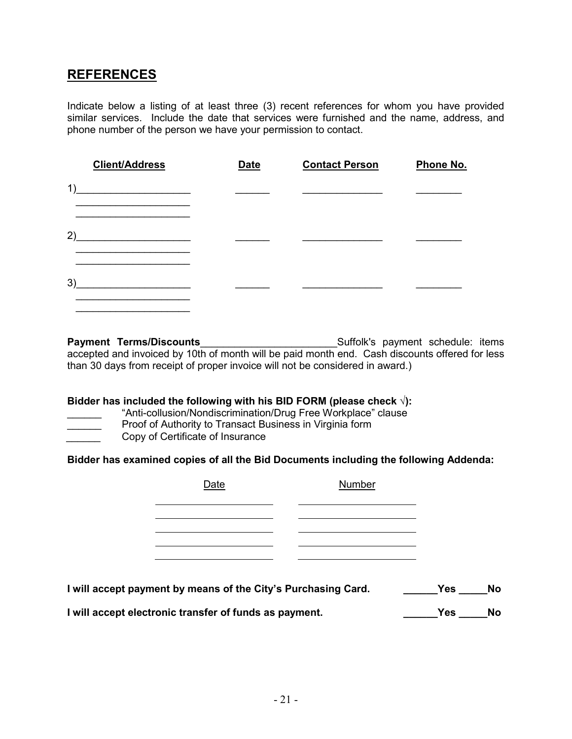# **REFERENCES**

Indicate below a listing of at least three (3) recent references for whom you have provided similar services. Include the date that services were furnished and the name, address, and phone number of the person we have your permission to contact.

|    | <b>Client/Address</b> | <b>Date</b> | <b>Contact Person</b> | Phone No. |
|----|-----------------------|-------------|-----------------------|-----------|
| 1) |                       |             |                       |           |
| 2) |                       |             |                       |           |
| 3) |                       |             |                       |           |

**Payment Terms/Discounts**\_\_\_\_\_\_\_\_\_\_\_\_\_\_\_\_\_\_\_\_\_\_\_\_Suffolk's payment schedule: items accepted and invoiced by 10th of month will be paid month end. Cash discounts offered for less than 30 days from receipt of proper invoice will not be considered in award.)

#### **Bidder has included the following with his BID FORM (please check √):**

- "Anti-collusion/Nondiscrimination/Drug Free Workplace" clause
- **EXECUTE:** Proof of Authority to Transact Business in Virginia form<br>Copy of Certificate of Insurance
- \_\_\_\_\_\_ Copy of Certificate of Insurance

**Bidder has examined copies of all the Bid Documents including the following Addenda:**

| Date | Number |
|------|--------|
|      |        |
|      |        |
|      |        |
|      |        |

| I will accept payment by means of the City's Purchasing Card. | Yes | No |
|---------------------------------------------------------------|-----|----|
| I will accept electronic transfer of funds as payment.        | Yes | No |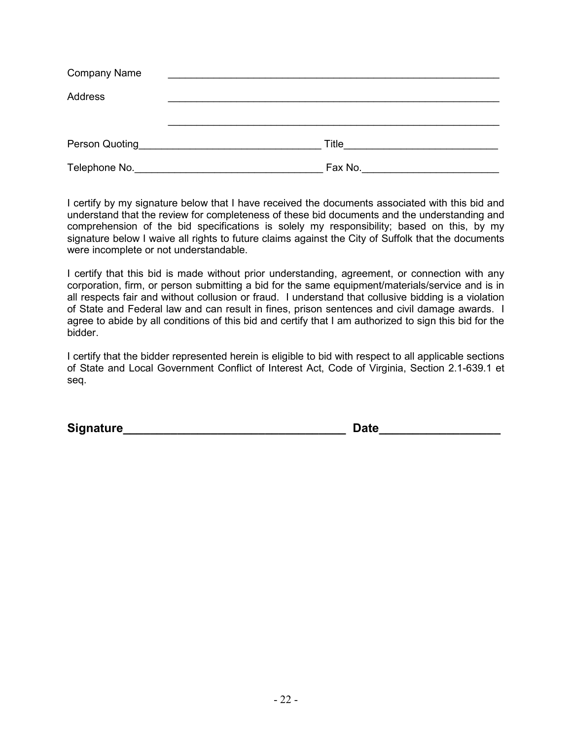| <b>Company Name</b>                                                  |         |  |
|----------------------------------------------------------------------|---------|--|
| Address                                                              |         |  |
|                                                                      |         |  |
|                                                                      |         |  |
| Person Quoting<br><u> 1989 - John Stein, Amerikaansk politiker (</u> | Title   |  |
| Telephone No.                                                        | Fax No. |  |

I certify by my signature below that I have received the documents associated with this bid and understand that the review for completeness of these bid documents and the understanding and comprehension of the bid specifications is solely my responsibility; based on this, by my signature below I waive all rights to future claims against the City of Suffolk that the documents were incomplete or not understandable.

I certify that this bid is made without prior understanding, agreement, or connection with any corporation, firm, or person submitting a bid for the same equipment/materials/service and is in all respects fair and without collusion or fraud. I understand that collusive bidding is a violation of State and Federal law and can result in fines, prison sentences and civil damage awards. I agree to abide by all conditions of this bid and certify that I am authorized to sign this bid for the bidder.

I certify that the bidder represented herein is eligible to bid with respect to all applicable sections of State and Local Government Conflict of Interest Act, Code of Virginia, Section 2.1-639.1 et seq.

**Signature\_\_\_\_\_\_\_\_\_\_\_\_\_\_\_\_\_\_\_\_\_\_\_\_\_\_\_\_\_\_\_\_\_ Date\_\_\_\_\_\_\_\_\_\_\_\_\_\_\_\_\_\_**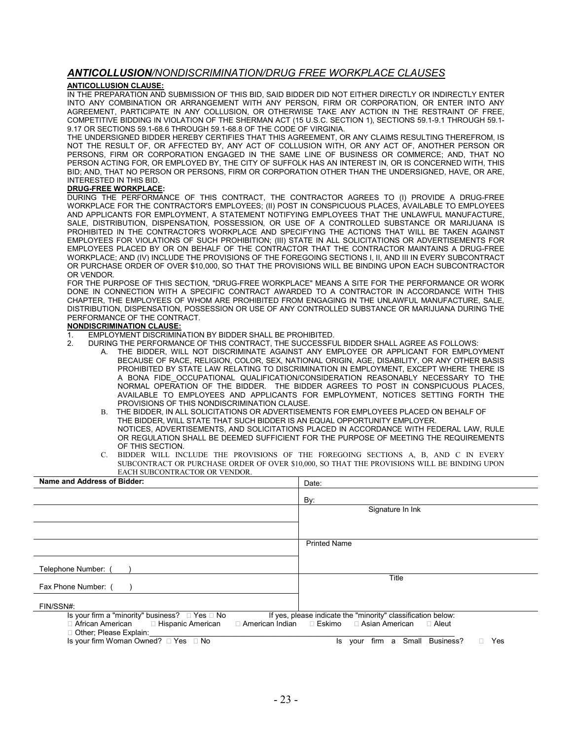#### *ANTICOLLUSION/NONDISCRIMINATION/DRUG FREE WORKPLACE CLAUSES*

#### **ANTICOLLUSION CLAUSE:**

IN THE PREPARATION AND SUBMISSION OF THIS BID, SAID BIDDER DID NOT EITHER DIRECTLY OR INDIRECTLY ENTER INTO ANY COMBINATION OR ARRANGEMENT WITH ANY PERSON, FIRM OR CORPORATION, OR ENTER INTO ANY AGREEMENT, PARTICIPATE IN ANY COLLUSION, OR OTHERWISE TAKE ANY ACTION IN THE RESTRAINT OF FREE, COMPETITIVE BIDDING IN VIOLATION OF THE SHERMAN ACT (15 U.S.C. SECTION 1), SECTIONS 59.1-9.1 THROUGH 59.1- 9.17 OR SECTIONS 59.1-68.6 THROUGH 59.1-68.8 OF THE CODE OF VIRGINIA.

THE UNDERSIGNED BIDDER HEREBY CERTIFIES THAT THIS AGREEMENT, OR ANY CLAIMS RESULTING THEREFROM, IS NOT THE RESULT OF, OR AFFECTED BY, ANY ACT OF COLLUSION WITH, OR ANY ACT OF, ANOTHER PERSON OR PERSONS, FIRM OR CORPORATION ENGAGED IN THE SAME LINE OF BUSINESS OR COMMERCE; AND, THAT NO PERSON ACTING FOR, OR EMPLOYED BY, THE CITY OF SUFFOLK HAS AN INTEREST IN, OR IS CONCERNED WITH, THIS BID; AND, THAT NO PERSON OR PERSONS, FIRM OR CORPORATION OTHER THAN THE UNDERSIGNED, HAVE, OR ARE, INTERESTED IN THIS BID.

#### **DRUG-FREE WORKPLACE:**

DURING THE PERFORMANCE OF THIS CONTRACT, THE CONTRACTOR AGREES TO (I) PROVIDE A DRUG-FREE WORKPLACE FOR THE CONTRACTOR'S EMPLOYEES; (II) POST IN CONSPICUOUS PLACES, AVAILABLE TO EMPLOYEES AND APPLICANTS FOR EMPLOYMENT, A STATEMENT NOTIFYING EMPLOYEES THAT THE UNLAWFUL MANUFACTURE, SALE, DISTRIBUTION, DISPENSATION, POSSESSION, OR USE OF A CONTROLLED SUBSTANCE OR MARIJUANA IS PROHIBITED IN THE CONTRACTOR'S WORKPLACE AND SPECIFYING THE ACTIONS THAT WILL BE TAKEN AGAINST EMPLOYEES FOR VIOLATIONS OF SUCH PROHIBITION; (III) STATE IN ALL SOLICITATIONS OR ADVERTISEMENTS FOR EMPLOYEES PLACED BY OR ON BEHALF OF THE CONTRACTOR THAT THE CONTRACTOR MAINTAINS A DRUG-FREE WORKPLACE; AND (IV) INCLUDE THE PROVISIONS OF THE FOREGOING SECTIONS I, II, AND III IN EVERY SUBCONTRACT OR PURCHASE ORDER OF OVER \$10,000, SO THAT THE PROVISIONS WILL BE BINDING UPON EACH SUBCONTRACTOR OR VENDOR.

FOR THE PURPOSE OF THIS SECTION, "DRUG-FREE WORKPLACE" MEANS A SITE FOR THE PERFORMANCE OR WORK DONE IN CONNECTION WITH A SPECIFIC CONTRACT AWARDED TO A CONTRACTOR IN ACCORDANCE WITH THIS CHAPTER, THE EMPLOYEES OF WHOM ARE PROHIBITED FROM ENGAGING IN THE UNLAWFUL MANUFACTURE, SALE, DISTRIBUTION, DISPENSATION, POSSESSION OR USE OF ANY CONTROLLED SUBSTANCE OR MARIJUANA DURING THE PERFORMANCE OF THE CONTRACT.

#### **NONDISCRIMINATION CLAUSE:**

- 1. EMPLOYMENT DISCRIMINATION BY BIDDER SHALL BE PROHIBITED.<br>2. DURING THE PERFORMANCE OF THIS CONTRACT, THE SUCCESSFU
	- 2. DURING THE PERFORMANCE OF THIS CONTRACT, THE SUCCESSFUL BIDDER SHALL AGREE AS FOLLOWS:
		- THE BIDDER, WILL NOT DISCRIMINATE AGAINST ANY EMPLOYEE OR APPLICANT FOR EMPLOYMENT BECAUSE OF RACE, RELIGION, COLOR, SEX, NATIONAL ORIGIN, AGE, DISABILITY, OR ANY OTHER BASIS PROHIBITED BY STATE LAW RELATING TO DISCRIMINATION IN EMPLOYMENT, EXCEPT WHERE THERE IS A BONA FIDE\_OCCUPATIONAL QUALIFICATION/CONSIDERATION REASONABLY NECESSARY TO THE NORMAL OPERATION OF THE BIDDER. THE BIDDER AGREES TO POST IN CONSPICUOUS PLACES, AVAILABLE TO EMPLOYEES AND APPLICANTS FOR EMPLOYMENT, NOTICES SETTING FORTH THE PROVISIONS OF THIS NONDISCRIMINATION CLAUSE.
		- B. THE BIDDER, IN ALL SOLICITATIONS OR ADVERTISEMENTS FOR EMPLOYEES PLACED ON BEHALF OF THE BIDDER, WILL STATE THAT SUCH BIDDER IS AN EQUAL OPPORTUNITY EMPLOYER. NOTICES, ADVERTISEMENTS, AND SOLICITATIONS PLACED IN ACCORDANCE WITH FEDERAL LAW, RULE OR REGULATION SHALL BE DEEMED SUFFICIENT FOR THE PURPOSE OF MEETING THE REQUIREMENTS OF THIS SECTION.
		- C. BIDDER WILL INCLUDE THE PROVISIONS OF THE FOREGOING SECTIONS A, B, AND C IN EVERY SUBCONTRACT OR PURCHASE ORDER OF OVER \$10,000, SO THAT THE PROVISIONS WILL BE BINDING UPON EACH SUBCONTRACTOR OR VENDOR.

| Date:                                                                                                                      |
|----------------------------------------------------------------------------------------------------------------------------|
| By:                                                                                                                        |
| Signature In Ink                                                                                                           |
|                                                                                                                            |
| <b>Printed Name</b>                                                                                                        |
|                                                                                                                            |
|                                                                                                                            |
| Title                                                                                                                      |
|                                                                                                                            |
| If yes, please indicate the "minority" classification below:<br>$\Box$ American Indian $\Box$ Eskimo $\Box$ Asian American |
| $\Box$ Aleut                                                                                                               |
| Small Business?<br>firm<br>Yes<br>П.<br>a<br>ls<br>your                                                                    |
|                                                                                                                            |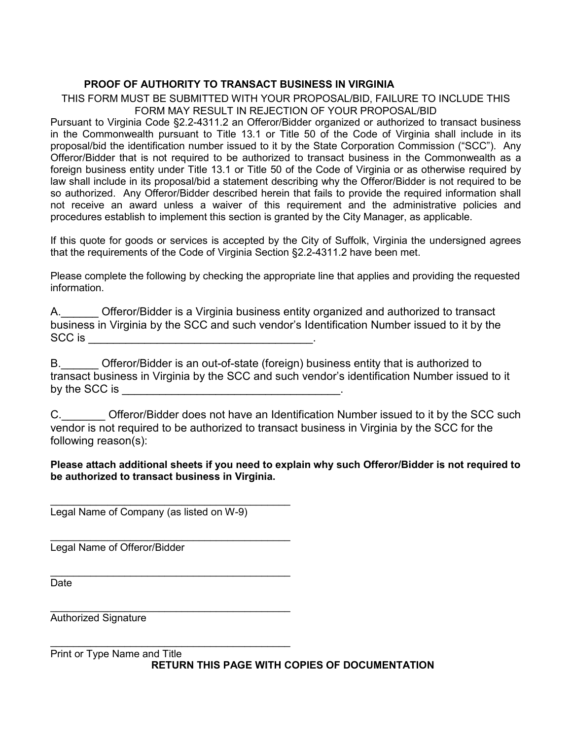#### **PROOF OF AUTHORITY TO TRANSACT BUSINESS IN VIRGINIA**

THIS FORM MUST BE SUBMITTED WITH YOUR PROPOSAL/BID, FAILURE TO INCLUDE THIS FORM MAY RESULT IN REJECTION OF YOUR PROPOSAL/BID

Pursuant to Virginia Code §2.2-4311.2 an Offeror/Bidder organized or authorized to transact business in the Commonwealth pursuant to Title 13.1 or Title 50 of the Code of Virginia shall include in its proposal/bid the identification number issued to it by the State Corporation Commission ("SCC"). Any Offeror/Bidder that is not required to be authorized to transact business in the Commonwealth as a foreign business entity under Title 13.1 or Title 50 of the Code of Virginia or as otherwise required by law shall include in its proposal/bid a statement describing why the Offeror/Bidder is not required to be so authorized. Any Offeror/Bidder described herein that fails to provide the required information shall not receive an award unless a waiver of this requirement and the administrative policies and procedures establish to implement this section is granted by the City Manager, as applicable.

If this quote for goods or services is accepted by the City of Suffolk, Virginia the undersigned agrees that the requirements of the Code of Virginia Section §2.2-4311.2 have been met.

Please complete the following by checking the appropriate line that applies and providing the requested information.

| Α.     | Offeror/Bidder is a Virginia business entity organized and authorized to transact           |  |
|--------|---------------------------------------------------------------------------------------------|--|
|        | business in Virginia by the SCC and such vendor's Identification Number issued to it by the |  |
| SCC is |                                                                                             |  |

B. Cofferor/Bidder is an out-of-state (foreign) business entity that is authorized to transact business in Virginia by the SCC and such vendor's identification Number issued to it by the SCC is  $\Box$ 

C. C. Cital Offeror/Bidder does not have an Identification Number issued to it by the SCC such vendor is not required to be authorized to transact business in Virginia by the SCC for the following reason(s):

#### **Please attach additional sheets if you need to explain why such Offeror/Bidder is not required to be authorized to transact business in Virginia.**

\_\_\_\_\_\_\_\_\_\_\_\_\_\_\_\_\_\_\_\_\_\_\_\_\_\_\_\_\_\_\_\_\_\_\_\_\_\_\_\_\_\_ Legal Name of Company (as listed on W-9)

\_\_\_\_\_\_\_\_\_\_\_\_\_\_\_\_\_\_\_\_\_\_\_\_\_\_\_\_\_\_\_\_\_\_\_\_\_\_\_\_\_\_ Legal Name of Offeror/Bidder

\_\_\_\_\_\_\_\_\_\_\_\_\_\_\_\_\_\_\_\_\_\_\_\_\_\_\_\_\_\_\_\_\_\_\_\_\_\_\_\_\_\_ Date

\_\_\_\_\_\_\_\_\_\_\_\_\_\_\_\_\_\_\_\_\_\_\_\_\_\_\_\_\_\_\_\_\_\_\_\_\_\_\_\_\_\_ Authorized Signature

\_\_\_\_\_\_\_\_\_\_\_\_\_\_\_\_\_\_\_\_\_\_\_\_\_\_\_\_\_\_\_\_\_\_\_\_\_\_\_\_\_\_ Print or Type Name and Title **RETURN THIS PAGE WITH COPIES OF DOCUMENTATION**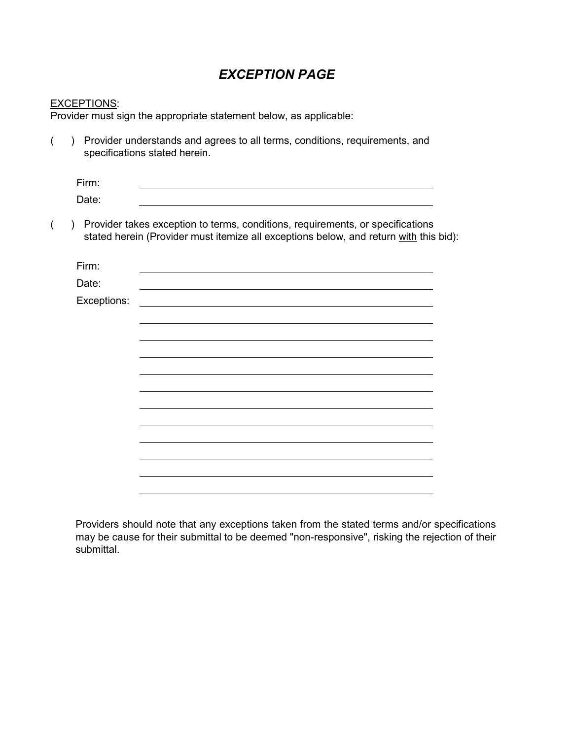# *EXCEPTION PAGE*

#### EXCEPTIONS:

Provider must sign the appropriate statement below, as applicable:

( ) Provider understands and agrees to all terms, conditions, requirements, and specifications stated herein.

| Firm: |  |  |
|-------|--|--|
| Date: |  |  |

( ) Provider takes exception to terms, conditions, requirements, or specifications stated herein (Provider must itemize all exceptions below, and return with this bid):

| Firm:       |  |
|-------------|--|
| Date:       |  |
| Exceptions: |  |
|             |  |
|             |  |
|             |  |
|             |  |
|             |  |
|             |  |
|             |  |
|             |  |
|             |  |
|             |  |
|             |  |
|             |  |
|             |  |

Providers should note that any exceptions taken from the stated terms and/or specifications may be cause for their submittal to be deemed "non-responsive", risking the rejection of their submittal.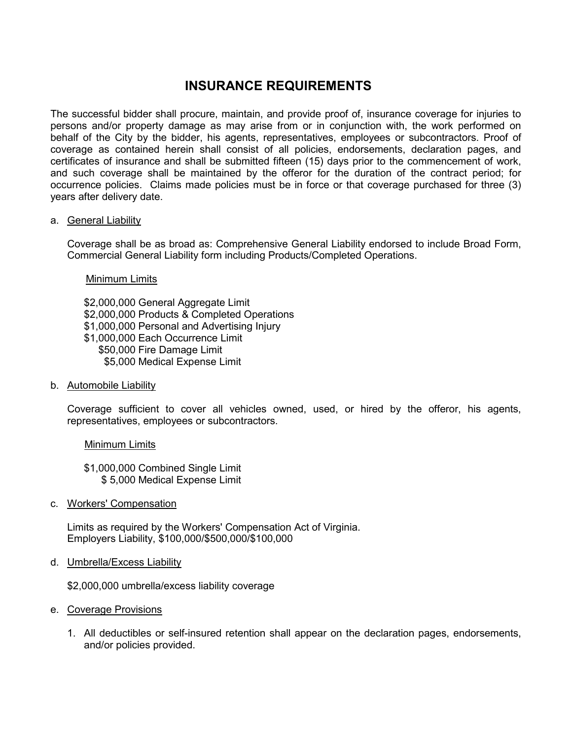# **INSURANCE REQUIREMENTS**

The successful bidder shall procure, maintain, and provide proof of, insurance coverage for injuries to persons and/or property damage as may arise from or in conjunction with, the work performed on behalf of the City by the bidder, his agents, representatives, employees or subcontractors. Proof of coverage as contained herein shall consist of all policies, endorsements, declaration pages, and certificates of insurance and shall be submitted fifteen (15) days prior to the commencement of work, and such coverage shall be maintained by the offeror for the duration of the contract period; for occurrence policies. Claims made policies must be in force or that coverage purchased for three (3) years after delivery date.

#### a. General Liability

Coverage shall be as broad as: Comprehensive General Liability endorsed to include Broad Form, Commercial General Liability form including Products/Completed Operations.

Minimum Limits

\$2,000,000 General Aggregate Limit \$2,000,000 Products & Completed Operations \$1,000,000 Personal and Advertising Injury \$1,000,000 Each Occurrence Limit \$50,000 Fire Damage Limit \$5,000 Medical Expense Limit

b. Automobile Liability

Coverage sufficient to cover all vehicles owned, used, or hired by the offeror, his agents, representatives, employees or subcontractors.

#### Minimum Limits

\$1,000,000 Combined Single Limit \$ 5,000 Medical Expense Limit

c. Workers' Compensation

Limits as required by the Workers' Compensation Act of Virginia. Employers Liability, \$100,000/\$500,000/\$100,000

d. Umbrella/Excess Liability

\$2,000,000 umbrella/excess liability coverage

- e. Coverage Provisions
	- 1. All deductibles or self-insured retention shall appear on the declaration pages, endorsements, and/or policies provided.